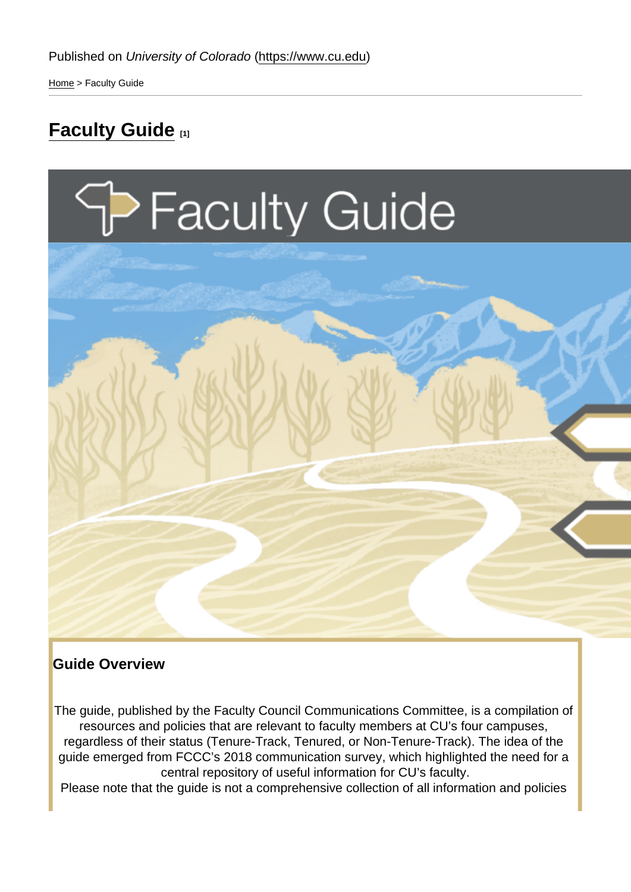[Home](https://www.cu.edu/) > Faculty Guide

# **[Faculty Guide](https://www.cu.edu/faculty/news-resources/faculty-guide)** [1]

#### Guide Overview

The guide, published by the Faculty Council Communications Committee, is a compilation of resources and policies that are relevant to faculty members at CU's four campuses, regardless of their status (Tenure-Track, Tenured, or Non-Tenure-Track). The idea of the guide emerged from FCCC's 2018 communication survey, which highlighted the need for a central repository of useful information for CU's faculty.

Please note that the guide is not a comprehensive collection of all information and policies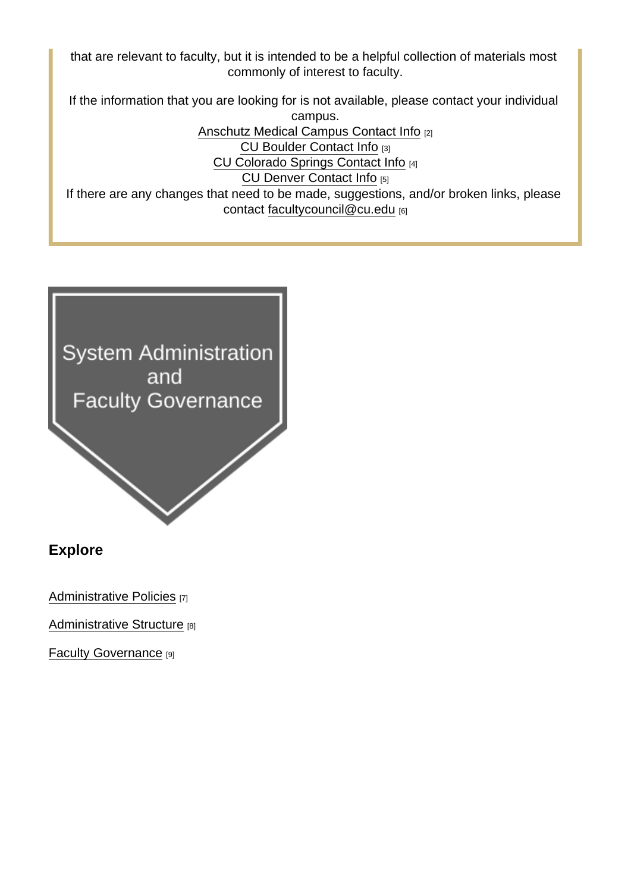that are relevant to faculty, but it is intended to be a helpful collection of materials most commonly of interest to faculty.

If the information that you are looking for is not available, please contact your individual

campus. [Anschutz Medical Campus Contact Info](https://www.cuanschutz.edu/about/contact-us) [2] [CU Boulder Contact Info](https://www.colorado.edu/contact-us) [3] [CU Colorado Springs Contact Info](https://www.uccs.edu/contact) [4] [CU Denver Contact Info](https://www.ucdenver.edu/about-cu-denver/contact-us#:~:text=If you are not sure,315-5969 (LYNX).) [5] If there are any changes that need to be made, suggestions, and/or broken links, please contact [facultycouncil@cu.edu](mailto:facultycouncil@cu.edu) [6]

Explore

[Administrative Policies](https://www.cu.edu/faculty/news-resources/faculty-guide/administrative-policies) [7]

[Administrative Structure](https://www.cu.edu/faculty/news-resources/faculty-guide/administrative-structure) [8]

[Faculty Governance](https://www.cu.edu/faculty-guide/faculty-governance) [9]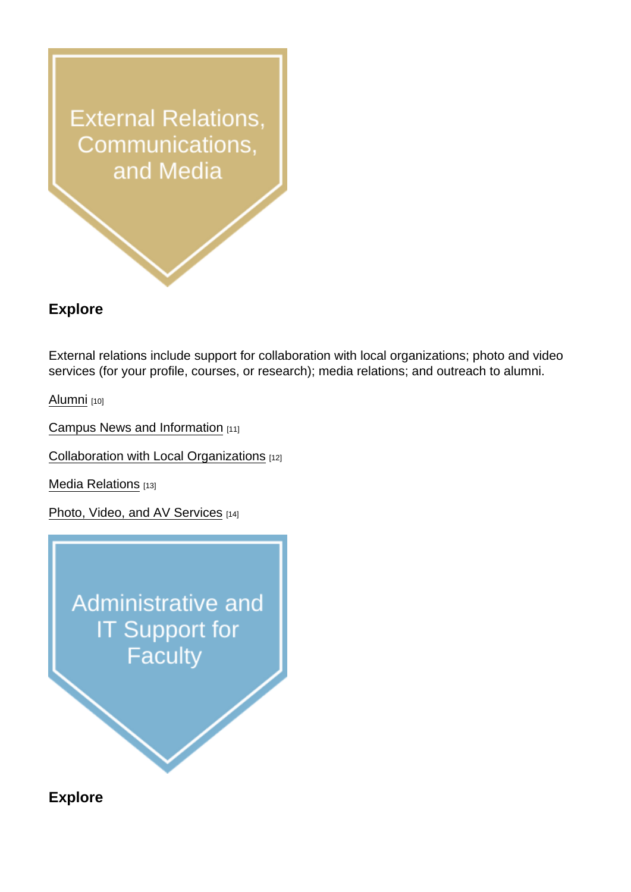## Explore

External relations include support for collaboration with local organizations; photo and video services (for your profile, courses, or research); media relations; and outreach to alumni.

[Alumni](https://www.cu.edu/faculty-guide/alumni) [10]

[Campus News and Information](https://www.cu.edu/faculty-guide/campus-news-and-info) [11]

[Collaboration with Local Organizations](https://www.cu.edu/faculty-guide/collaboration-local-organizations) [12]

[Media Relations](https://www.cu.edu/faculty-guide/media-relations) [13]

[Photo, Video, and AV Services](https://www.cu.edu/faculty-guide/photo-video-av-services) [14]

Explore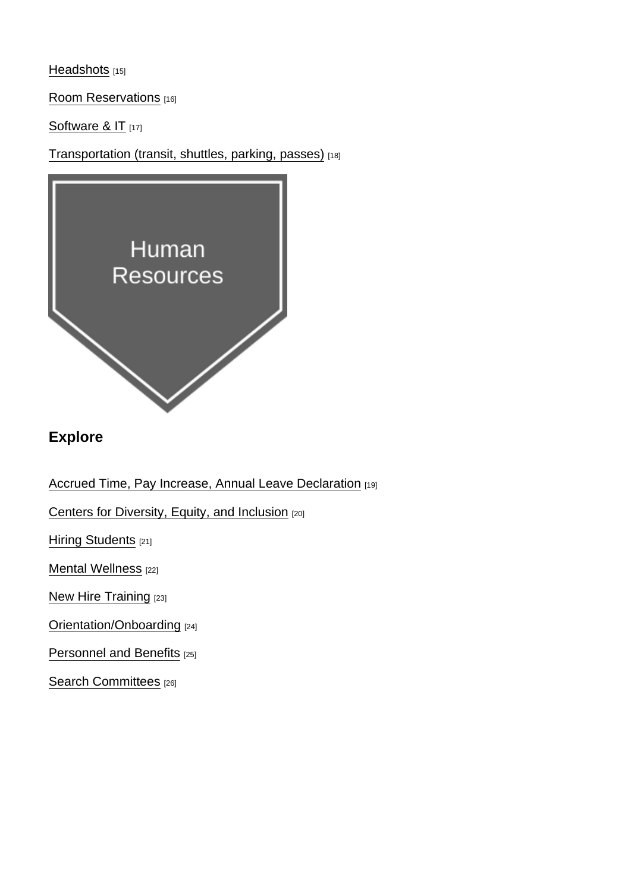[Headshots](https://www.cu.edu/faculty-guide/headshots) [15]

[Room Reservations](https://www.cu.edu/faculty-guide/room-reservations) [16]

[Software & IT](https://www.cu.edu/faculty-guide/software-and-it) [17]

[Transportation \(transit, shuttles, parking, passes\)](https://www.cu.edu/faculty-guide/transportation) [18]

### Explore

[Accrued Time, Pay Increase, Annual Leave Declaration](https://www.cu.edu/faculty-guide/compensation) [19]

[Centers for Diversity, Equity, and Inclusion](https://www.cu.edu/faculty-guide/diversity-equity-inclusion) [20]

[Hiring Students](https://www.cu.edu/faculty-guide/hiring-students) [21]

[Mental Wellness](https://www.cu.edu/faculty-guide/mental-wellness) [22]

[New Hire Training](https://www.cu.edu/faculty-guide/new-hire-training) [23]

[Orientation/Onboarding](https://www.cu.edu/faculty-guide/orientation-onboarding) [24]

[Personnel and Benefits](https://www.cu.edu/faculty-guide/personnel) [25]

[Search Committees](https://www.cu.edu/faculty-guide/search-committees) [26]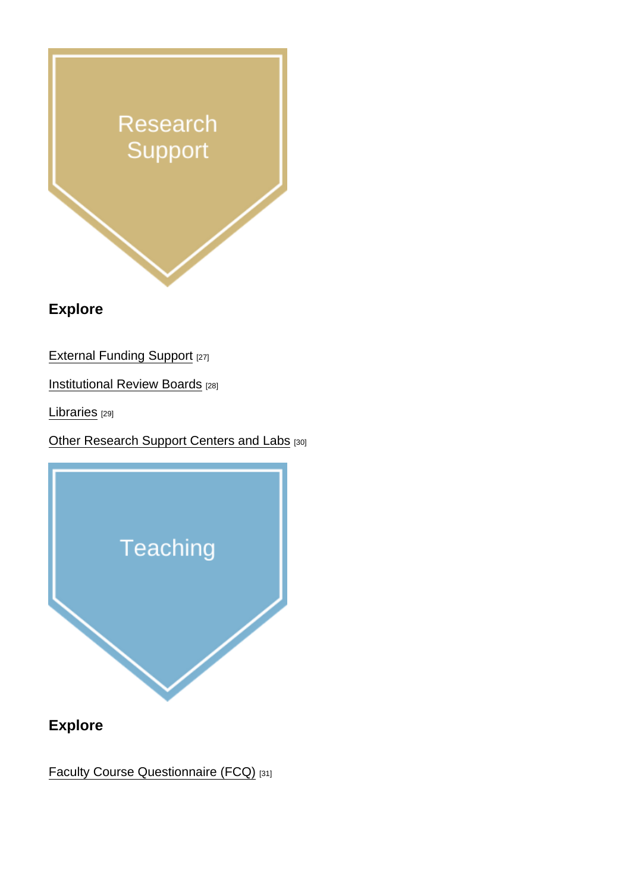Explore

**[External Funding Support](https://www.cu.edu/faculty-guide/external-funding-support) [27]** 

**[Institutional Review Boards](https://www.cu.edu/faculty-council/institutional-review-boards)** [28]

[Libraries](https://www.cu.edu/faculty-guide/libraries) [29]

**[Other Research Support Centers and Labs](https://www.cu.edu/faculty-guide/other-research) [30]** 

Explore

**[Faculty Course Questionnaire \(FCQ\)](https://www.cu.edu/faculty-guide/fcq)** [31]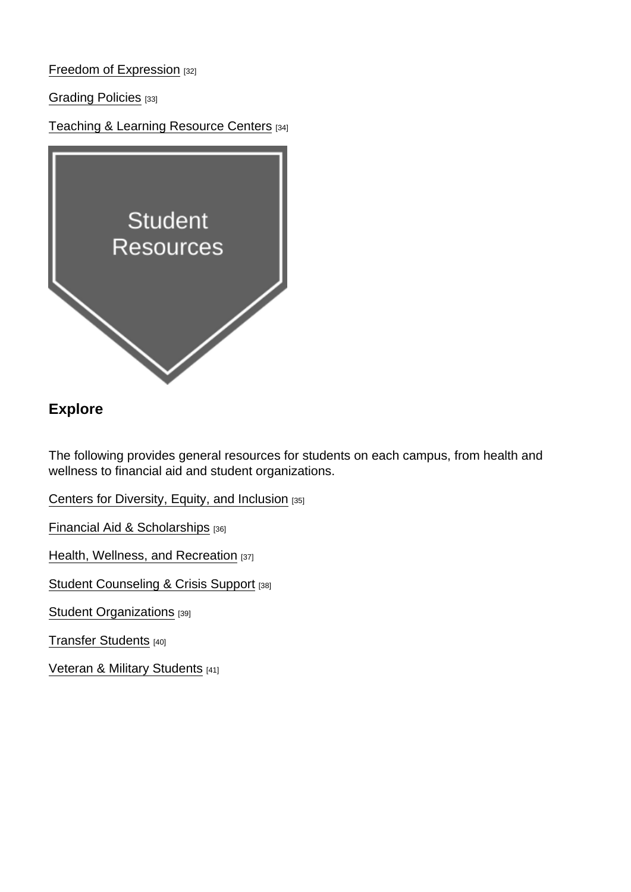[Freedom of Expression](https://www.cu.edu/faculty-guide/freedom-expression) [32]

[Grading Policies](https://www.cu.edu/faculty-guide/grading-policies) [33]

[Teaching & Learning Resource Centers](https://www.cu.edu/faculty-guide/teaching-learning-resource-centers) [34]

Explore

The following provides general resources for students on each campus, from health and wellness to financial aid and student organizations.

[Centers for Diversity, Equity, and Inclusion](https://www.cu.edu/faculty-guide/dei-centers) [35]

[Financial Aid & Scholarships](https://www.cu.edu/faculty-guide/financial-aid-scholarships) [36]

[Health, Wellness, and Recreation](https://www.cu.edu/faculty-guide/health-wellness-recreation) [37]

[Student Counseling & Crisis Support](https://www.cu.edu/faculty-guide/student-counseling-crisis-support) [38]

[Student Organizations](https://www.cu.edu/faculty-guide/student-organizations) [39]

[Transfer Students](https://www.cu.edu/faculty-guide/transfer-students) [40]

[Veteran & Military Students](https://www.cu.edu/faculty-guide/veteran-military-students) [41]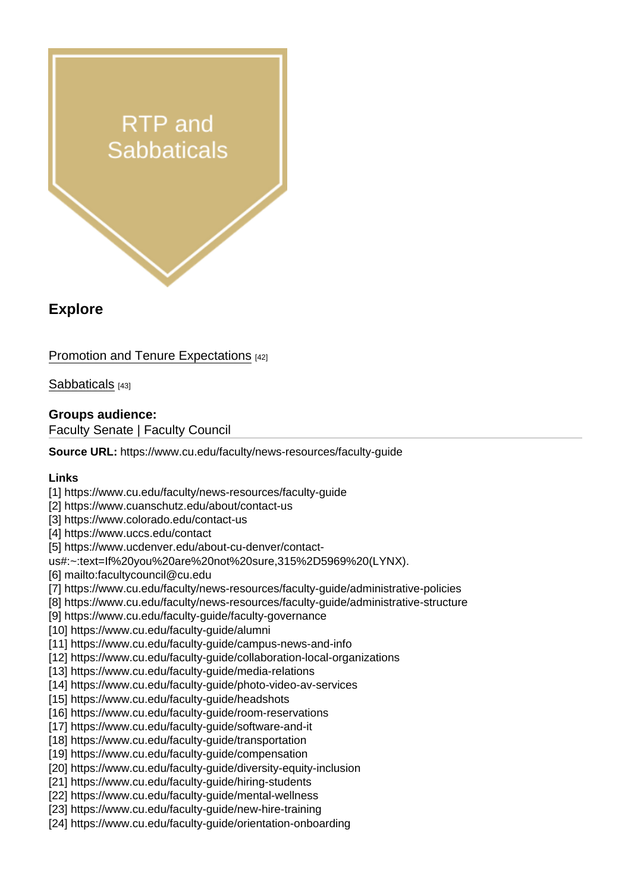#### Explore

#### [Promotion and Tenure Expectations](https://www.cu.edu/faculty-guide/promotion-and-tenure-expectations) [42]

[Sabbaticals](http://cu.edu/faculty-guide/sabbaticals) [43]

Groups audience: Faculty Senate | Faculty Council

Source URL: https://www.cu.edu/faculty/news-resources/faculty-guide

Links

[1] https://www.cu.edu/faculty/news-resources/faculty-guide

- [2] https://www.cuanschutz.edu/about/contact-us
- [3] https://www.colorado.edu/contact-us
- [4] https://www.uccs.edu/contact
- [5] https://www.ucdenver.edu/about-cu-denver/contact-

us#:~:text=If%20you%20are%20not%20sure,315%2D5969%20(LYNX).

[6] mailto:facultycouncil@cu.edu

[7] https://www.cu.edu/faculty/news-resources/faculty-guide/administrative-policies

- [8] https://www.cu.edu/faculty/news-resources/faculty-guide/administrative-structure
- [9] https://www.cu.edu/faculty-guide/faculty-governance

[10] https://www.cu.edu/faculty-guide/alumni

- [11] https://www.cu.edu/faculty-guide/campus-news-and-info
- [12] https://www.cu.edu/faculty-guide/collaboration-local-organizations
- [13] https://www.cu.edu/faculty-quide/media-relations
- [14] https://www.cu.edu/faculty-guide/photo-video-av-services
- [15] https://www.cu.edu/faculty-guide/headshots
- [16] https://www.cu.edu/faculty-guide/room-reservations
- [17] https://www.cu.edu/faculty-guide/software-and-it
- [18] https://www.cu.edu/faculty-guide/transportation
- [19] https://www.cu.edu/faculty-guide/compensation
- [20] https://www.cu.edu/faculty-guide/diversity-equity-inclusion
- [21] https://www.cu.edu/faculty-guide/hiring-students
- [22] https://www.cu.edu/faculty-guide/mental-wellness
- [23] https://www.cu.edu/faculty-guide/new-hire-training
- [24] https://www.cu.edu/faculty-guide/orientation-onboarding